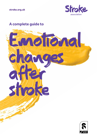**stroke.org.uk**



# **A complete guide to**

Emotional

changes

after

stroke

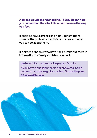**A stroke is sudden and shocking. This guide can help you understand the effect this could have on the way you feel.**

It explains how a stroke can affect your emotions, some of the problems that this can cause and what you can do about them.

It's aimed at people who have had a stroke but there is information for family and friends as well.

We have information on all aspects of stroke.

If you have a question that is not answered in this guide visit **[stroke.org.uk](http://www.stroke.org.uk)** or call our Stroke Helpline on **0303 3033 100**.

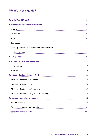# **What's in this guide?**

| <b>Why do I feel different?</b>                     | 4  |
|-----------------------------------------------------|----|
| What kinds of problems can this cause?              | 5  |
| Anxiety                                             | 5  |
| Frustration                                         | 6  |
| Anger                                               | 6  |
| Depression                                          | 6  |
| Difficulty controlling your emotions (emotionalism) | 7  |
| Mania and euphoria                                  | 7  |
| Will it get better?                                 | 8  |
| Are there treatments that can help?                 | 9  |
| <b>Talking therapy</b>                              | 9  |
| Medication                                          | 10 |
| What can I do about the way I feel?                 | 11 |
| What can I do about depression?                     | 14 |
| What can I do about anxiety?                        | 14 |
| What can I do about emotionalism?                   | 15 |
| What can I do about feeling frustrated or angry?    | 15 |
| Where can I get help and support?                   | 16 |
| How we can help                                     | 16 |
| Other organisations that can help                   | 16 |
| <b>Tips for family and friends</b>                  | 18 |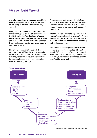# <span id="page-3-0"></span>**Why do I feel different?**

A stroke is **sudden and shocking** and affects every part of your life. It's a lot to deal with so it's going to have an effect on the way you feel.

Everyone's experience of stroke is different, but for many people it feels like they've lost the life they had before. Feelings of **shock, denial, anger, grief and guilt** are normal when you're faced with such a devastating change. Dealing with them can be hard and everyone does it differently.

Not only are you going through all these emotions yourself, but the people around you will be too. Often people don't want to admit how they're feeling and put on a brave face. So the people around you may not realise what you're going through.

They may assume that everything is fine, which can make it hard to tell them if it's not. Communication problems may mean that you can't explain how you're feeling, even if you want to.

All of this can be difficult to cope with. But if you don't acknowledge the way you're feeling and find things that can help you deal with it, these **emotions can become overwhelming** and lead to problems.

Sometimes the damage that a stroke does to your brain can make you feel differently as well. Different parts of your brain control different things. If the part of your brain that controls your emotions is damaged, then this can affect how you feel.



#### **The stages of loss**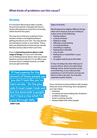# <span id="page-4-1"></span><span id="page-4-0"></span>**Anxiety**

It's normal to feel anxious after a stroke. Around one quarter of people who have a stroke will experience some form of anxiety within the first five years.

You may worry that you're going to have another stroke or be frightened about getting around on your own. You may also be worried about money or your family. These fears are all perfectly normal and you should feel less anxious about them over time.

If you're **becoming anxious about a wide range of things**, or if you can't tell what you're feeling anxious about, then you should speak to someone about it. It can affect your recovery if you're always anxious, so make sure you get some help.

"If I had a penny for the amount of times people say 'you don't look like you've had a stroke.' On the plus side it must mean I look well but the downside is people don't have a clue what I'm going through daily."

**John-Lee**

#### **Signs of anxiety**

We all experience slightly different things when we're anxious, but you're likely to notice some of the following:

- **•** feeling restless
- **•** a sense of dread
- **•** feeling on edge
- **•** difficulty concentrating
- **•** a racing heartbeat
- **•** trembling or shaking
- **•** feeling short of breath
- **•** a dry mouth
- **•** feeling sick or 'butterflies' in your stomach
- **•** an urgent need to go to the toilet.

It may not always be clear what you're anxious about, which can make these feelings worse. Severe anxiety can be overwhelming. It can make you feel powerless or out of control, as if you are about to die or go mad. You may also experience panic attacks.

If you continue to have problems with anxiety, these are some of the long-term symptoms you may notice:

- **•** tiredness
- **•** not going out and avoiding new situations
- **•** problems sleeping
- **•** tense or aching muscles
- **•** being irritable with other people.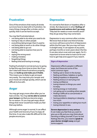# <span id="page-5-0"></span>**Frustration**

One of the emotions that nearly all stroke survivors have to deal with is frustration. So many things change after a stroke, and so quickly, that it can be hard to accept.

You may feel frustrated about:

- **•** not being able to do what you used to do
- **•** having to rely on other people
- **•** everything taking longer than it used to
- **•** not being able to work or do other things
- **•** not being able to go out
- **•** not being able to express how you're feeling
- **•** saying the wrong word
- **•** making mistakes
- **•** forgetting things
- **•** feeling tired and having no energy.

Feeling frustrated is normal and you're going to feel this way from time to time. But if you don't deal with these frustrations properly, they can **build up and make you irritable**. This means you're likely to get annoyed very easily. You may lose your temper and your mood can change quickly, which can be difficult to live with.

# <span id="page-5-1"></span>**Anger**

You may get angry more often after you've had a stroke. You may **not be able to control your temper** and feel you become angry for no reason. Or you may get angry about things that never would have made you feel that way before.

Although some anger is normal, it can affect your health and recovery if you're angry all the time. It can also make life difficult for the people around you.

### <span id="page-5-2"></span>**Depression**

It's normal to feel down or hopeless after a stroke. But depression is when **feelings of hopelessness and sadness don't go away**. They last for weeks or even months and if they do go away they may come back.

Depression is very common after a stroke. We know that at least one third of stroke survivors will have some form of depression within the first year. But you may not have it straight away. It can appear at any point, perhaps months or even years down the line. It can also return over and over again. So it's important to know what to look out for and how to get help and support if you need it.

#### **Signs of depression**

Depression affects people in different ways, but these are some of the more common signs:

- **•** feeling sad or down in the dumps
- **•** feeling worthless, helpless or guilty
- **•** feeling hopeless or desperate
- **•** feeling anxious or worrying a lot
- **•** losing confidence
- **•** losing interest in things you used to enjoy
- **•** lacking energy or motivation
- **•** not going out or avoiding other people
- **•** finding it difficult to concentrate or make decisions
- **•** having problems sleeping or sleeping too much
- **•** losing your appetite or eating too much
- **•** losing interest in sex.

#### **Severe depression is very serious**

It can make you feel that you want to give up on life and you may think about harming or killing yourself. If you've had feelings like this, you need to **speak to your doctor straight away** and get some support.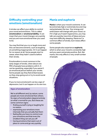# <span id="page-6-0"></span>**Difficulty controlling your emotions (emotionalism)**

A stroke can affect your ability to control your mood and emotions. This is called **emotionalism** or **emotional lability**. It can mean that your mood changes very quickly and you are more emotional than you used to be.

You may find that you cry or laugh more and this can become extreme, such as laughing at something inappropriate. Or it can happen for no reason at all. Some people start to swear, when they hadn't used to before their stroke.

Emotionalism is most common in the early stages of stroke, when about one fifth of people have problems with it. It can be upsetting, especially if you weren't an emotional person before your stroke. Some people say they feel embarrassed, so they stop going out or try to avoid social situations.

If you're more emotional it can be a sign of depression, but it can happen on its own too.

#### **Signs of emotionalism**

We're all different and, by nature, some people are more emotional than others. So signs of emotionalism depend entirely on what's normal for you. But these are some common signs:

- **•** finding yourself crying or laughing for no reason
- **•** expressing your emotions more intensely that you actually feel them
- **•** feeling like you have no control over your emotions and that even the smallest thing can set you off
- **•** having emotions that seem out of place or come and go very quickly.

### <span id="page-6-1"></span>**Mania and euphoria**

**Mania** is when your mood is extreme. It can be extremely high or extremely low and may swing between the two. Your energy and enthusiasm will change with your mood, so if it's high you'll seem hyperactive, you may talk very quickly, have lots of ideas and you may have difficulty sleeping. Mania isn't a common effect of stroke, but it does affect some people.

Some people also experience **euphoria**, which is when your mood is constantly high and you seem extremely positive. But, like mania, this only affects a very small number of people.

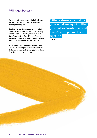# <span id="page-7-0"></span>**Will it get better?**

When emotions are overwhelming it can be easy to think that they'll never get better, but they do.

Feeling low, anxious or angry, or not being able to control your emotions are all very common after a stroke, especially in the first few months. Even if these feelings never completely go away, you'll probably find them easier to live with over time.

And remember, **you're not on your own**. There are lots of people who are there to help you cope with the way you're feeling. You don't have to do it alone.

"After a stroke your brain is your worst enemy – it will tell you that you're a burden and there's no hope. You have to fight it."

**Tina**

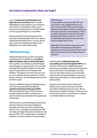<span id="page-8-0"></span>Lots of **treatments and therapies can help with your emotions** after a stroke. Depending on the problems you're having, your doctor may be able to refer you to someone who specialises in mental health, such as a psychologist or a counsellor.

Many people find that talking about the way they're feeling helps them to be able to understand and deal with it. So your doctor may recommend talking therapy to you. Medication can often help as well.

# <span id="page-8-1"></span>**Talking therapy**

Talking therapy gives you time and space to talk about your problems and **explore difficult feelings with a trained therapist** – this could be a counsellor, psychotherapist, psychologist or a psychiatrist. This can help you deal with specific problems or develop ways of coping with your thoughts and feelings. Therapists can work with you oneto-one or jointly with your partner or other family members. Group therapy sessions are another option.

There are different types of talking therapy. One that many people find helpful is **cognitive behavioural therapy (CBT)**. This can help with many of the emotions people experience after a stroke and is recommended as a treatment for depression and anxiety.

CBT focuses on your thinking and behaviour and how they are connected. Negative thoughts can stop you from doing things, which in turn, can make you feel worse. CBT can help you break this cycle and improve the way you feel. CBT usually needs a number of sessions, over the course of several weeks.

#### **CBT at home**

It's possible to teach yourself CBT and your doctor may suggest that you try this. There are lots of printed and audio books on the subject, which can guide you through exercises and techniques. There are also interactive computer and online programmes that you can try. Your GP or therapist may be able to recommend some suitable ones to you.

Although most of these resources won't have been developed specifically for people who have had a stroke, they're still likely to have lots of information that can help you.

Unfortunately, **talking therapy and counselling services through the NHS** vary a lot from area to area. Depending what services are available and how much demand there is for them, the waiting list could be long. On the other hand, your stroke team may have its own psychologist or access to special services that you can be referred to quite quickly.

Speak to your doctor about what your options are. In some areas you can refer yourself to talking therapy services. We've listed some websites on [page 17 t](#page-16-0)hat you can use to look up what's in your area or contact ou[r Stroke Helpline](#page-15-3) to find out.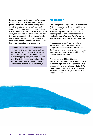Because you can wait a long time for therapy through the NHS, some people choose **private therapy**. This means finding your own therapist and paying for treatment yourself. Prices can range between £10 and £70 for one session, so this isn't an option for everyone. If you do decide to pay for private therapy, we suggest finding a therapist who has experience of working with people who have had a stroke. Contact us if you'd like to know more about private treatment.

Communication problems can make it very hard to express how you're feeling. But that shouldn't stop you from getting the emotional support you need. So if you're struggling with your emotions and would like to talk to someone about them, tell your speech and language therapist and ask what support is available for you.

### <span id="page-9-0"></span>**Medication**

Some drugs can help you with your emotions. **Antidepressants** are the most well known. These drugs affect the chemicals in your brain and lift your mood. This can help to treat depression and sometimes anxiety. Medication can often help if you're having difficulty controlling your emotions as well.

Antidepressants don't cure emotional problems, but they can help with the symptoms and make life feel easier. They don't work for everyone and are usually best for people with more severe problems. They can also have side effects.

There are lots of different types of antidepressants and it can take a bit of time to find the right one at the right dose. They can also take a little while to work. So if it's something you decide to try, you'll need to persevere and work with your doctor to find what's best for you.

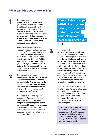<span id="page-10-0"></span>1

2

#### **Get some help**

There's a lot to cope with when you've had a stroke, so don't be afraid to ask for some help. If you're worried about the way you're feeling, or you think you may be experiencing some of the problems we've described, then you need to **speak to your doctor about it**. They will be able to tell you about the support that's available.

Emotional problems are often missed by doctors and sometimes it can be difficult to get them taken seriously. However, you need to trust that you know yourself better than they do, so don't be afraid to keep pushing to get the support you need. If you don't think you're getting the right support from your doctor or stroke team, then contact our Stroke Helpline.

#### **Talk to someone about it**

Talking about the way you're feeling with someone who understands can really help. You may want to do this with a **counsellor or therapist**  or it could be a **family member or friend** – whoever you feel most comfortable confiding in.

Many people also find **support groups** helpful, because you can talk about your problems with people who are going through the same thing. Stroke clubs and groups are a good way to meet other stroke survivors and get advice and support, but there are all sorts of groups out there.

"I wasn't able to cope with it all on my own. Talking to my doctor and getting some counselling was the best thing I ever did." **Craig**

**Stay informed**

3

A stroke can make you feel low or anxious. But talking to the right people and finding answers to your questions will help you feel more in control. For many people, the fear of having another stroke can cause a lot of worry. So talk to your doctor about what they think caused your stroke and **what you can do to reduce your risk of it happening again**. Don't be afraid to ask, even if it's weeks or months later. It's important that you understand what's happened to you and why.

If you're worried about not being able to go back to work, talk to your occupational therapist about it. Finding out what financial support you can get will also help to ease your fears. Speak to your social worker if you have one or call our Stroke Helpline.

Communication problems can make it difficult to ask questions, but your speech and language therapist can help you talk to other members of your stroke team, if that will help you get the information you need.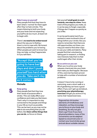

**Take it easy on yourself** Many people find that they have to learn what's 'normal' for them again after they've had a stroke. This means listening to both your body and your brain and not expecting yourself to do too much, at least not to begin with.

There's **no need to be embarrassed** about the way you're feeling – there's a lot to cope with. Be honest about the problems you're having. Often people just want to know how they can help, so they'll appreciate it if you tell them.

"Accept that you're going to have bad days and don't push yourself too hard when you do. Take each day as it comes."

#### **Michelle**

#### **Keep going**

Many people feel that they lose their sense of purpose after a stroke. This can really affect your confidence and make you feel down. That's why it's important to stay connected to the people and things in your life as much as possible. This can be hard, as you may not be able to do everything that you did before. But **there will be things that you can do**, so focus on these.

Set yourself **small goals to work towards, one step at a time**. Keep track of the progress you make, as it can be easy to forget, especially if things don't happen as quickly as you'd like.

It can be particularly hard if you worked or were involved in lots of things before your stroke. But you need to remember that there are still opportunities out there, you may just need to find other ways to use your skills and talents. Many people find that volunteering, taking part in research, or finding new interests help them to feel useful again after their stroke.

#### **Be as active as you can**

6

When you're active your body releases chemicals into your brain that make you feel happier. Because of this, exercise has been proven to help with a number of emotional problems.

It doesn't have to be running or swimming, even a short walk or a bit of gardening can have a good effect. If you can't get up and about, **practising your physiotherapy exercises** will get you active or try some chair-based exercises.

Yoga and tai-chi involve elements of mindfulness and relaxation, as they encourage you to focus on your body and breathing. So why not give them a go? Even if you have physical problems, many of the movements can be adapted. Speak to a local instructor or contact your local stroke group and ask about suitable classes.

5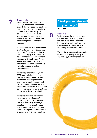# 7

#### **Try relaxation**

Relaxation can help you cope when your emotions start to feel overwhelming. Research has shown that relaxation can be particularly helpful in treating anxiety after stroke. There are techniques you can learn to help you relax. These usually focus on breathing or releasing tension from your muscles.

Many people find that **mindfulness** or other forms of **meditation** help them too. These are techniques that encourage you to pay more attention to the present moment – to your own thoughts and feelings as well as your body and the world around you. This can be especially helpful when you're feeling overwhelmed.

There are plenty of books, CDs, DVDs and websites that can teach you about relaxation and meditation. Although most of them won't have been designed for people who have had a stroke, there's still likely to be a lot that you can get from them and many stroke survivors do find them helpful.

There are also many courses on relaxation or mindfulness. Try contacting your local college or library to see if they can tell you about any in your area. Courses are provided by the NHS in some areas. So ask your doctor if there's anything available where you live.

# "Rest your mind as well

as your body."

**Patricia**

**Get it out**

8

Writing things down can help you deal with negative thoughts and feelings. Many people find that **keeping a journal** helps them – it doesn't have to be written, you could keep a video journal instead.

Things like **art, music, photography or poetry** can give you a way of expressing your feelings as well.

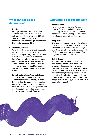## <span id="page-13-0"></span>**What can I do about depression?**

#### **• Keep busy**

Although you may not feel like doing anything, being active can help you feel more positive. So however difficult it seems, at least try to give your rehabilitation exercises a go. You may find them easier than you think.

#### **• Be kind to yourself**

Write down the compliments that people give you and the achievements you make, so that you can go back and remind yourself of them when you're feeling down. And think about your appearance – looking good makes us all feel a little better. So treat yourself to a haircut or a manicure. If you can't get to a salon yourself, find someone who can come out to your house.

**• Eat well and avoid caffeine and alcohol** If you're not eating much or you're comforting yourself by eating junk food all the time, then it's going to make you feel tired and run down. So try to eat regular meals with lots of fruit and vegetables and fish. Cut out alcohol and caffeine, as they can alter your mood and affect your sleep.

### <span id="page-13-1"></span>**What can I do about anxiety?**

#### **• Try relaxation**

Relaxation has been proven to reduce anxiety. Breathing techniques can be especially helpful when you find yourself becoming anxious. Some people find that mindfulness helps with anxiety too.

#### **• Keep busy**

Exercise encourages your brain to release chemicals that lift your mood, which helps to relieve stress and tension. Focusing on an activity can also help to take your mind off things and give you a distraction from negative thoughts or feelings.

#### **• Talk it through**

A support group means you can talk about your problems with people who understand because they are going through the same thing. There are groups for people who have had a stroke as well as groups for people coping with anxiety. Or speak to a friend or family member if you prefer. They can help you talk through the things that are making you anxious and put them into perspective.

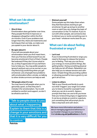## <span id="page-14-0"></span>**What can I do about emotionalism?**

#### **• Give it time**

Emotionalism does get better over time. Many people find that it improves or disappears altogether within the first six months. Even if your problems last longer than this, there are treatments and techniques that can help, so make sure you speak to your doctor about it.

#### **• Be open about it**

If you tell new people about your emotionalism when you first meet them, then you'll be less embarrassed if you do become emotional in front of them. People feel awkward if they don't know what to do, so they'll appreciate it if you tell them how to help you. You may prefer people to ignore it and just carry on as normal, or you may find a hug comforting when you get emotional. Lots of people have problems with emotionalism after a stroke, so talking to other stroke survivors can help as well.

#### **• Tell people when it's real**

You may have to tell people when you're genuinely upset, so that they don't mistake it for emotionalism. You're still entitled to comfort and support, so don't be afraid to ask for it.

# "Talk to people close to you about what's happening. Explain to them that this is a change in your emotions and that it is very difficult for you to control."

#### **Patricia**

#### **• Distract yourself**

Some people say this helps them when they feel themselves starting to get emotional. So get up and go to another room or ask if you can change the topic of conversation or the TV channel. If you're out with other people, ask someone else to distract you or recite something over in your head – whatever works best for you.

# <span id="page-14-1"></span>**What can I do about feeling frustrated or angry?**

#### **• Let it out**

If you're becoming frustrated or angry you need to find ways to release the tension you're feeling. That way you can focus your energy on more positive things, like getting better. Doing something physical can help you let off steam. Relaxation can also help you to release tension and calm down. Simple things like pounding a pillow or allowing yourself to have a good cry can get it all out too.

#### **• Listen to others**

Talk to your friends and family to work out what 'triggers' your anger (is it when you're tired or bored for example?) and what you can do to avoid it. Agree a prompt that they can use to let you know that you're becoming angry or aggressive. It can be as simple as a word or a gesture, just something that will prompt you to take a step back and calm down.

We have more information and advice about managing aggressive behaviour in our booklet *Changes to your behaviour.*  Visit **[stroke.org.uk/publications](http://www.stroke.org.uk/publications)** to find it.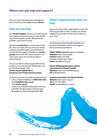<span id="page-15-3"></span><span id="page-15-0"></span>If you're concerned about any changes to your emotions, then speak to your **doctor**.

# <span id="page-15-1"></span>**How we can help**

Our **Stroke Helpline** can give you information and support on any issue you or your family may be facing after stroke. Whatever the problem, we're here to help.

We have **coordinators** in some areas of the UK, who can meet with you and your family and give you information, practical advice and emotional support. We also run **stroke groups** across the UK. Even if we don't run one in your area, we can tell you about others that do.

Or you can talk to other people affected by stroke on our online forum TalkStroke or on our Facebook page. Visit **[stroke.org.uk/talkstroke](http://www.stroke.org.uk/talkstroke)** or **[facebook.com/TheStrokeAssociation](http://www.facebook.com/thestrokeassociation)**

To find out how we can help, just get in touch: **•** call our Stroke Helpline on **0303 3033 100** 

- **•** email **[info@stroke.org.uk](mailto:info%40stroke.org.uk?subject=)**
- **•** visit **[stroke.org.uk](http://www.stroke.org.uk)**
- **•** write to us at Stroke Information Service, Life After Stroke Centre, Church Lane, Bromsgrove, Worcestershire B61 8RA.

# <span id="page-15-2"></span>**Other organisations that can help**

Below are some other organisations in the UK that may be able to help. Contact our Stroke Helpline if you'd like to know about others in your area.

The following **mental health charities** can provide information, advice and support about emotional problems.

**MIND/ MIND Cymru** (England and Wales) **Website:** [www.mind.org.uk](http://www.mind.org.uk)  **Infoline:** 0300 123 3393 (Monday-Friday, 9am-6pm) **Email:** [info@mind.org.uk](mailto:info%40mind.org.uk?subject=)

**Niamh Wellbeing (Northern Ireland Association for Mental Health) Website:** [www.niamhwellbeing.org](http://www.niamhwellbeing.org)  **Tel:** 028 9032 8474

**Scottish Association for Mental Health Website:** [www.samh.org.uk](http://www.samh.org.uk)

**Tel:** 0141 530 1000 **Email:** [enquire@samh.org.uk](mailto:enquire%40samh.org.uk?subject=)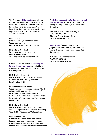<span id="page-16-0"></span>The following **NHS websites** can tell you more about specific emotional problems. NHS Choices has a 'moodzone' and NHS Inform has a 'mental health zone', which have tips to help you cope with anxiety and depression, as well as information about good mental health.

#### **NHS Choices**

(England, Wales, Northern Ireland) **Website:** www.nhs.uk **Moodzone:** [www.nhs.uk/moodzone](http://www.nhs.uk/moodzone)

**NHS Inform** (Scotland) **Website:** [www.nhsinform.co.uk](http://www.nhsinform.co.uk)  **Mental health zone:**  [www.nhsinform.co.uk/mentalhealth](http://www.nhsinform.co.uk/mentalhealth)

If you'd like to know what **counselling or talking therapy services** are available in your area, you can look them up using the following websites:

#### **NHS Choices** (England)

**Website:** [www.nhs.uk/Service-Search/](http://www.nhs.uk/Service-Search/Counselling-NHS-(IAPT)-services/LocationSearch/396) [Counselling-NHS-\(IAPT\)-services/](http://www.nhs.uk/Service-Search/Counselling-NHS-(IAPT)-services/LocationSearch/396) [LocationSearch/396](http://www.nhs.uk/Service-Search/Counselling-NHS-(IAPT)-services/LocationSearch/396)

#### **NI Direct** (Northern Ireland)

**Website:** [www.nidirect.gov.uk/index/do-it](http://www.nidirect.gov.uk/index/do-it-online/health-and-well-being-online/find-health-services-in-your-area.htm)[online/health-and-well-being-online/find](http://www.nidirect.gov.uk/index/do-it-online/health-and-well-being-online/find-health-services-in-your-area.htm)[health-services-in-your-area.htm](http://www.nidirect.gov.uk/index/do-it-online/health-and-well-being-online/find-health-services-in-your-area.htm) *Click on your local trust and follow the link to its website, where you can search for mental health services.*

#### **NHS Inform** (Scotland)

**Website:** [www.nhsinform.co.uk/Support-](http://www.nhsinform.co.uk/Support-
Services/Topic?letter=C&topic=Counselling
%20-%20for%20general%20problems)[Services/Topic?letter=C&topic=Counselling](http://www.nhsinform.co.uk/Support-
Services/Topic?letter=C&topic=Counselling
%20-%20for%20general%20problems) [%20-%20for%20general%20problems](http://www.nhsinform.co.uk/Support-
Services/Topic?letter=C&topic=Counselling
%20-%20for%20general%20problems) 

#### **NHS Direct** (Wales)

**Website:** [www.nhsdirect.wales.nhs.uk/](http://www.nhsdirect.wales.nhs.uk/localservices/searchlocalservices.aspx) [localservices/searchlocalservices.aspx](http://www.nhsdirect.wales.nhs.uk/localservices/searchlocalservices.aspx)  *Click on 'Health, Wellbeing & Support' and choose from the topics in the drop down menu.*

The **British Association for Counselling and Psychotherapy** can tell you about private talking therapy and help you find a qualified therapist.

**Website:** [www.itsgoodtotalk.org.uk](http://www.itsgoodtotalk.org.uk) **Tel:** 01455 88 33 00 (Monday–Friday, 8.45am-5pm) **Email:** [bacp@bacp.co.uk](mailto:bacp%40bacp.co.uk?subject=)

**Samaritans** offer confidential, nonjudgemental emotional support over the phone. They are open 24 hours a day, 365 days a year.

**Website:** [www.samaritans.org](http://www.samaritans.org)  **Tel:** 08457 90 90 90 **Email:** [jo@samaritans.org](mailto:jo%40samaritans.org%0D?subject=)

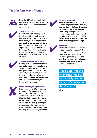# <span id="page-17-0"></span>**Tips for family and friends**



It can be difficult to know how to help someone with their emotions after a stroke. So here are some suggestions.



#### **Talk to each other**

Sometimes it's hard for people to talk about their feelings, even with someone close. So let them know that you're willing to listen and **ask them what you can do** to help. Sometimes there won't be anything you can do, which can be tough. But just being there for them and encouraging them to seek help if they need to, is often all it takes.



#### **Spend some time with them**

Coping with the effects of stroke can make people feel very lonely. So simply spending some time with your friend or family member can really help. You may not have time to visit them as often as you'd like, but **even a short phone call** will show them that you're thinking about them.



#### **Don't do everything for them**

It's normal to want to do as much as possible for someone you love, but it will be better for your friend or family member if you **help them to do things on their own**, rather than do all it for them. So encourage them to give things a go. Although they may not think they'll be able to, more often than not they'll be pleasantly surprised.



#### **Help them stay active**

Being active helps to lift our mood, so encourage your friend or family member to do whatever they can. It will help if you **do it together**. Even if they can't get up and about, there may be chair-based exercises they can do and they're likely to have exercises to practise if they're having physiotherapy.

#### **Be patient**

It takes time for things to improve, so you'll need to be patient. This isn't always easy, especially when you're coming to terms with everything that's happened as well. So make sure **you're looking after yourself** and you have someone to talk to too.

"Neil's still not the man I married but he's slowly coming back; he's becoming 'him' again."

**Ann**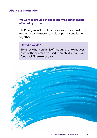## **About our information**

# **We want to provide the best information for people affected by stroke.**

That's why we ask stroke survivors and their families, as well as medical experts, to help us put our publications together.

# **How did we do?**

To tell us what you think of this guide, or to request a list of the sources we used to create it, email us at **[feedback@stroke.org.uk](mailto:feedback%40stroke.org.uk%20?subject=)**